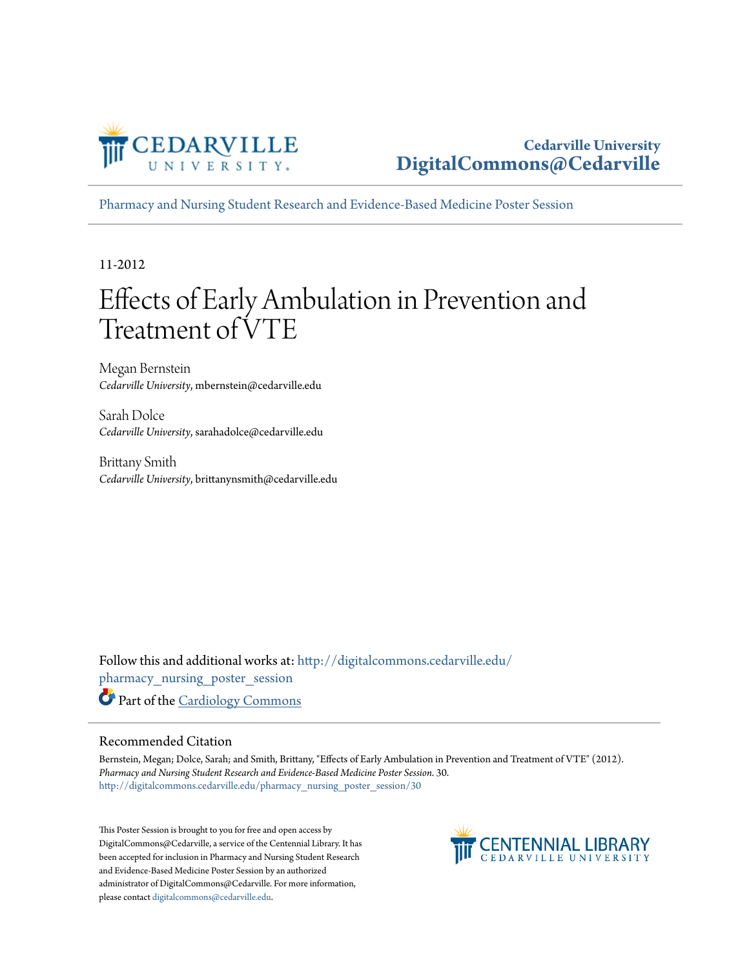

[Pharmacy and Nursing Student Research and Evidence-Based Medicine Poster Session](http://digitalcommons.cedarville.edu/pharmacy_nursing_poster_session?utm_source=digitalcommons.cedarville.edu%2Fpharmacy_nursing_poster_session%2F30&utm_medium=PDF&utm_campaign=PDFCoverPages)

11-2012

#### Effects of Early Ambulation in Prevention and Treatment of VTE

Megan Bernstein *Cedarville University*, mbernstein@cedarville.edu

Sarah Dolce *Cedarville University*, sarahadolce@cedarville.edu

Brittany Smith *Cedarville University*, brittanynsmith@cedarville.edu

Follow this and additional works at: [http://digitalcommons.cedarville.edu/](http://digitalcommons.cedarville.edu/pharmacy_nursing_poster_session?utm_source=digitalcommons.cedarville.edu%2Fpharmacy_nursing_poster_session%2F30&utm_medium=PDF&utm_campaign=PDFCoverPages) [pharmacy\\_nursing\\_poster\\_session](http://digitalcommons.cedarville.edu/pharmacy_nursing_poster_session?utm_source=digitalcommons.cedarville.edu%2Fpharmacy_nursing_poster_session%2F30&utm_medium=PDF&utm_campaign=PDFCoverPages) Part of the [Cardiology Commons](http://network.bepress.com/hgg/discipline/683?utm_source=digitalcommons.cedarville.edu%2Fpharmacy_nursing_poster_session%2F30&utm_medium=PDF&utm_campaign=PDFCoverPages)

#### Recommended Citation

Bernstein, Megan; Dolce, Sarah; and Smith, Brittany, "Effects of Early Ambulation in Prevention and Treatment of VTE" (2012). *Pharmacy and Nursing Student Research and Evidence-Based Medicine Poster Session*. 30. [http://digitalcommons.cedarville.edu/pharmacy\\_nursing\\_poster\\_session/30](http://digitalcommons.cedarville.edu/pharmacy_nursing_poster_session/30?utm_source=digitalcommons.cedarville.edu%2Fpharmacy_nursing_poster_session%2F30&utm_medium=PDF&utm_campaign=PDFCoverPages)

This Poster Session is brought to you for free and open access by DigitalCommons@Cedarville, a service of the Centennial Library. It has been accepted for inclusion in Pharmacy and Nursing Student Research and Evidence-Based Medicine Poster Session by an authorized administrator of DigitalCommons@Cedarville. For more information, please contact [digitalcommons@cedarville.edu.](mailto:digitalcommons@cedarville.edu)